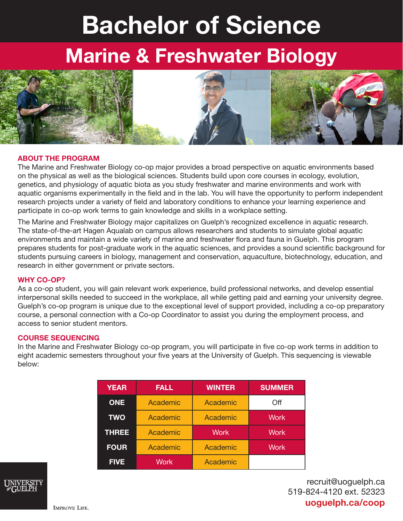# Bachelor of Science

## Marine & Freshwater Biology



#### ABOUT THE PROGRAM

The Marine and Freshwater Biology co-op major provides a broad perspective on aquatic environments based on the physical as well as the biological sciences. Students build upon core courses in ecology, evolution, genetics, and physiology of aquatic biota as you study freshwater and marine environments and work with aquatic organisms experimentally in the field and in the lab. You will have the opportunity to perform independent research projects under a variety of field and laboratory conditions to enhance your learning experience and participate in co-op work terms to gain knowledge and skills in a workplace setting.

The Marine and Freshwater Biology major capitalizes on Guelph's recognized excellence in aquatic research. The state-of-the-art Hagen Aqualab on campus allows researchers and students to simulate global aquatic environments and maintain a wide variety of marine and freshwater flora and fauna in Guelph. This program prepares students for post-graduate work in the aquatic sciences, and provides a sound scientific background for students pursuing careers in biology, management and conservation, aquaculture, biotechnology, education, and research in either government or private sectors.

#### WHY CO-OP?

As a co-op student, you will gain relevant work experience, build professional networks, and develop essential interpersonal skills needed to succeed in the workplace, all while getting paid and earning your university degree. Guelph's co-op program is unique due to the exceptional level of support provided, including a co-op preparatory course, a personal connection with a Co-op Coordinator to assist you during the employment process, and access to senior student mentors.

#### COURSE SEQUENCING

In the Marine and Freshwater Biology co-op program, you will participate in five co-op work terms in addition to eight academic semesters throughout your five years at the University of Guelph. This sequencing is viewable below:

| <b>YEAR</b>  | <b>FALL</b>       | <b>WINTER</b>   | <b>SUMMER</b> |
|--------------|-------------------|-----------------|---------------|
| <b>ONE</b>   | Academic          | Academic        | Off           |
| <b>TWO</b>   | Academic          | Academic        | <b>Work</b>   |
| <b>THREE</b> | Academic          | <b>Work</b>     | <b>Work</b>   |
| <b>FOUR</b>  | Academic          | Academic        | <b>Work</b>   |
| <b>FIVE</b>  | Work <sup>'</sup> | <b>Academic</b> |               |



recruit@uoguelph.ca 519-824-4120 ext. 52323 uoguelph.ca/coop